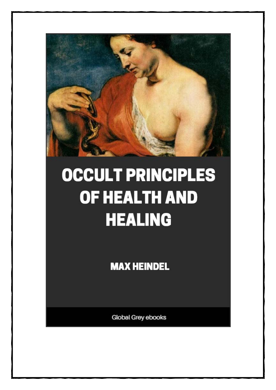

# **OCCULT PRINCIPLES** OF HEALTH AND **HEALING**

**MAX HEINDEL** 

Global Grey ebooks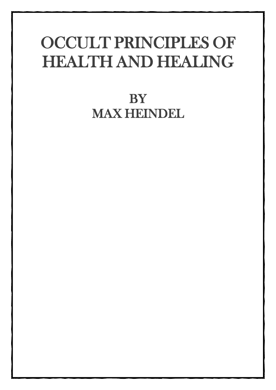## OCCULT PRINCIPLES OF HEALTH AND HEALING

### **BY** MAX HEINDEL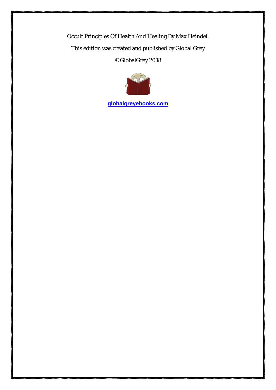Occult Principles Of Health And Healing By Max Heindel. This edition was created and published by Global Grey ©GlobalGrey 2018



**[globalgreyebooks.com](https://www.globalgreyebooks.com/)**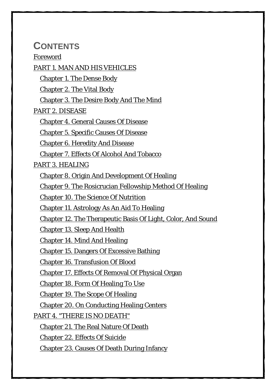### **CONTENTS**

#### [Foreword](#page-5-0)

[PART 1. MAN AND HIS VEHICLES](#page-6-0) [Chapter 1. The Dense Body](#page-7-0) [Chapter 2. The Vital Body](#page-29-0) [Chapter 3. The Desire Body And The Mind](#page-34-0) [PART 2. DISEASE](#page-38-0) [Chapter 4. General Causes Of Disease](#page-39-0) [Chapter 5. Specific Causes Of Disease](#page-46-0) [Chapter 6. Heredity And Disease](#page-61-0) [Chapter 7. Effects Of Alcohol And Tobacco](#page-63-0) [PART 3. HEALING](#page-66-0) [Chapter 8. Origin And Development Of Healing](#page-67-0) [Chapter 9. The Rosicrucian Fellowship Method Of Healing](#page-71-0) [Chapter 10. The Science Of Nutrition](#page-77-0) [Chapter 11. Astrology As An Aid To Healing](#page-101-0) [Chapter 12. The Therapeutic Basis Of Light, Color, And Sound](#page-113-0) [Chapter 13. Sleep And Health](#page-119-0) [Chapter 14. Mind And Healing](#page-124-0) [Chapter 15. Dangers Of Excessive Bathing](#page-129-0) [Chapter 16. Transfusion Of Blood](#page-132-0) [Chapter 17. Effects Of Removal Of Physical Organ](#page-134-0) [Chapter 18. Form Of Healing To Use](#page-137-0) [Chapter 19. The Scope Of Healing](#page-142-0) [Chapter 20. On Conducting Healing Centers](#page-146-0) PART [4. "THERE IS NO DEATH"](#page-151-0) [Chapter 21. The Real Nature Of Death](#page-152-0) [Chapter 22. Effects Of Suicide](#page-155-0) [Chapter 23. Causes Of Death During Infancy](#page-157-0)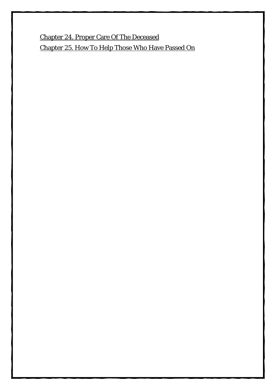[Chapter 24. Proper Care Of The Deceased](#page-159-0) [Chapter 25. How To Help Those Who Have Passed On](#page-163-0)